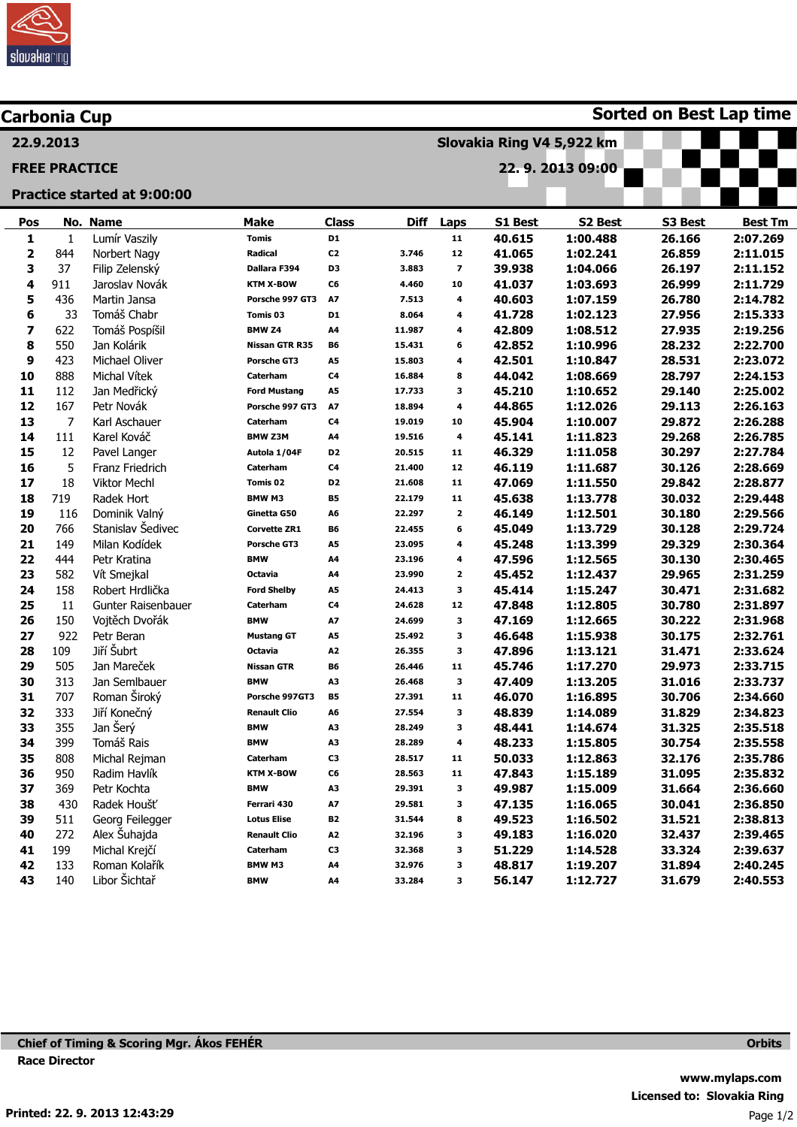

| <b>Carbonia Cup</b>         |                      |                     |                     |                |             |                           | <b>Sorted on Best Lap time</b> |          |         |                |  |  |
|-----------------------------|----------------------|---------------------|---------------------|----------------|-------------|---------------------------|--------------------------------|----------|---------|----------------|--|--|
| 22.9.2013                   |                      |                     |                     |                |             | Slovakia Ring V4 5,922 km |                                |          |         |                |  |  |
|                             | <b>FREE PRACTICE</b> |                     |                     |                |             |                           | 22.9.201309:00                 |          |         |                |  |  |
|                             |                      |                     |                     |                |             |                           |                                |          |         |                |  |  |
| Practice started at 9:00:00 |                      |                     |                     |                |             |                           |                                |          |         |                |  |  |
| Pos                         |                      | No. Name            | <b>Make</b>         | <b>Class</b>   | <b>Diff</b> | Laps                      | S1 Best                        | S2 Best  | S3 Best | <b>Best Tm</b> |  |  |
| 1                           | 1                    | Lumír Vaszily       | <b>Tomis</b>        | D1             |             | 11                        | 40.615                         | 1:00.488 | 26.166  | 2:07.269       |  |  |
| 2                           | 844                  | Norbert Nagy        | Radical             | C <sub>2</sub> | 3.746       | 12                        | 41.065                         | 1:02.241 | 26.859  | 2:11.015       |  |  |
| 3                           | 37                   | Filip Zelenský      | Dallara F394        | D <sub>3</sub> | 3.883       | $\overline{\phantom{a}}$  | 39.938                         | 1:04.066 | 26.197  | 2:11.152       |  |  |
| 4                           | 911                  | Jaroslav Novák      | <b>KTM X-BOW</b>    | C6             | 4.460       | 10                        | 41.037                         | 1:03.693 | 26.999  | 2:11.729       |  |  |
| 5                           | 436                  | Martin Jansa        | Porsche 997 GT3     | A7             | 7.513       | 4                         | 40.603                         | 1:07.159 | 26.780  | 2:14.782       |  |  |
| 6                           | 33                   | Tomáš Chabr         | Tomis 03            | D <sub>1</sub> | 8.064       | 4                         | 41.728                         | 1:02.123 | 27.956  | 2:15.333       |  |  |
| 7                           | 622                  | Tomáš Pospíšil      | BMW <sub>Z4</sub>   | A4             | 11.987      | 4                         | 42.809                         | 1:08.512 | 27.935  | 2:19.256       |  |  |
| 8                           | 550                  | Jan Kolárik         | Nissan GTR R35      | B6             | 15.431      | 6                         | 42.852                         | 1:10.996 | 28.232  | 2:22.700       |  |  |
| 9                           | 423                  | Michael Oliver      | <b>Porsche GT3</b>  | A5             | 15.803      | 4                         | 42.501                         | 1:10.847 | 28.531  | 2:23.072       |  |  |
| 10                          | 888                  | Michal Vítek        | Caterham            | C <sub>4</sub> | 16.884      | 8                         | 44.042                         | 1:08.669 | 28.797  | 2:24.153       |  |  |
| 11                          | 112                  | Jan Medřický        | <b>Ford Mustang</b> | A5             | 17.733      | 3                         | 45.210                         | 1:10.652 | 29.140  | 2:25.002       |  |  |
| 12                          | 167                  | Petr Novák          | Porsche 997 GT3     | A7             | 18.894      | 4                         | 44.865                         | 1:12.026 | 29.113  | 2:26.163       |  |  |
| 13                          | 7                    | Karl Aschauer       | Caterham            | C <sub>4</sub> | 19.019      | 10                        | 45.904                         | 1:10.007 | 29.872  | 2:26.288       |  |  |
| 14                          | 111                  | Karel Kováč         | <b>BMW Z3M</b>      | A4             | 19.516      | 4                         | 45.141                         | 1:11.823 | 29.268  | 2:26.785       |  |  |
| 15                          | 12                   | Pavel Langer        | Autola 1/04F        | D <sub>2</sub> | 20.515      | 11                        | 46.329                         | 1:11.058 | 30.297  | 2:27.784       |  |  |
| 16                          | 5                    | Franz Friedrich     | Caterham            | C <sub>4</sub> | 21.400      | 12                        | 46.119                         | 1:11.687 | 30.126  | 2:28.669       |  |  |
| 17                          | 18                   | <b>Viktor Mechl</b> | Tomis 02            | D <sub>2</sub> | 21.608      | 11                        | 47.069                         | 1:11.550 | 29.842  | 2:28.877       |  |  |
| 18                          | 719                  | Radek Hort          | <b>BMW M3</b>       | <b>B5</b>      | 22.179      | 11                        | 45.638                         | 1:13.778 | 30.032  | 2:29.448       |  |  |
| 19                          | 116                  | Dominik Valný       | Ginetta G50         | A6             | 22.297      | $\mathbf{2}$              | 46.149                         | 1:12.501 | 30.180  | 2:29.566       |  |  |
| 20                          | 766                  | Stanislav Šedivec   | <b>Corvette ZR1</b> | <b>B6</b>      | 22.455      | 6                         | 45.049                         | 1:13.729 | 30.128  | 2:29.724       |  |  |
| 21                          | 149                  | Milan Kodídek       | Porsche GT3         | A5             | 23.095      | 4                         | 45.248                         | 1:13.399 | 29.329  | 2:30.364       |  |  |
| 22                          | 444                  | Petr Kratina        | <b>BMW</b>          | A4             | 23.196      | 4                         | 47.596                         | 1:12.565 | 30.130  | 2:30.465       |  |  |
| 23                          | 582                  | Vít Smejkal         | <b>Octavia</b>      | A4             | 23.990      | $\mathbf{z}$              | 45.452                         | 1:12.437 | 29.965  | 2:31.259       |  |  |
| 24                          | 158                  | Robert Hrdlička     | <b>Ford Shelby</b>  | A5             | 24.413      | 3                         | 45.414                         | 1:15.247 | 30.471  | 2:31.682       |  |  |
| 25                          | 11                   | Gunter Raisenbauer  | Caterham            | C <sub>4</sub> | 24.628      | 12                        | 47.848                         | 1:12.805 | 30.780  | 2:31.897       |  |  |
| 26                          | 150                  | Vojtěch Dvořák      | <b>BMW</b>          | A7             | 24.699      | 3                         | 47.169                         | 1:12.665 | 30.222  | 2:31.968       |  |  |
| 27                          | 922                  | Petr Beran          | <b>Mustang GT</b>   | A5             | 25.492      | 3                         | 46.648                         | 1:15.938 | 30.175  | 2:32.761       |  |  |
| 28                          | 109                  | Jiří Šubrt          | <b>Octavia</b>      | A <sub>2</sub> | 26.355      | 3                         | 47.896                         | 1:13.121 | 31.471  | 2:33.624       |  |  |
| 29                          | 505                  | Jan Mareček         | <b>Nissan GTR</b>   | B6             | 26.446      | 11                        | 45.746                         | 1:17.270 | 29.973  | 2:33.715       |  |  |
| 30                          | 313                  | Jan Semlbauer       | <b>BMW</b>          | A3             | 26.468      | 3                         | 47.409                         | 1:13.205 | 31.016  | 2:33.737       |  |  |
| 31                          | 707                  | Roman Široký        | Porsche 997GT3      | <b>B5</b>      | 27.391      | 11                        | 46.070                         | 1:16.895 | 30.706  | 2:34.660       |  |  |
| 32                          | 333                  | Jiří Konečný        | <b>Renault Clio</b> | A6             | 27.554      | з                         | 48.839                         | 1:14.089 | 31.829  | 2:34.823       |  |  |
| 33                          | 355                  | Jan Šerý            | <b>BMW</b>          | A3             | 28.249      | з                         | 48.441                         | 1:14.674 | 31.325  | 2:35.518       |  |  |
| 34                          | 399                  | Tomáš Rais          | <b>BMW</b>          | A3             | 28.289      | 4                         | 48.233                         | 1:15.805 | 30.754  | 2:35.558       |  |  |
| 35                          | 808                  | Michal Rejman       | Caterham            | C3             | 28.517      | 11                        | 50.033                         | 1:12.863 | 32.176  | 2:35.786       |  |  |
| 36                          | 950                  | Radim Havlík        | <b>KTM X-BOW</b>    | C6             | 28.563      | 11                        | 47.843                         | 1:15.189 | 31.095  | 2:35.832       |  |  |
| 37                          | 369                  | Petr Kochta         | <b>BMW</b>          | A3             | 29.391      | 3                         | 49.987                         | 1:15.009 | 31.664  | 2:36.660       |  |  |
| 38                          | 430                  | Radek Houšť         | Ferrari 430         | A7             | 29.581      | 3                         | 47.135                         | 1:16.065 | 30.041  | 2:36.850       |  |  |
| 39                          | 511                  | Georg Feilegger     | <b>Lotus Elise</b>  | <b>B2</b>      | 31.544      | 8                         | 49.523                         | 1:16.502 | 31.521  | 2:38.813       |  |  |
| 40                          | 272                  | Alex Šuhajda        | <b>Renault Clio</b> | A <sub>2</sub> | 32.196      | 3                         | 49.183                         | 1:16.020 | 32.437  | 2:39.465       |  |  |
| 41                          | 199                  | Michal Krejčí       | Caterham            | C3             | 32.368      | 3                         | 51.229                         | 1:14.528 | 33.324  | 2:39.637       |  |  |
| 42                          | 133                  | Roman Kolařík       | BMW M3              | A4             | 32.976      | 3                         | 48.817                         | 1:19.207 | 31.894  | 2:40.245       |  |  |
| 43                          | 140                  | Libor Šichtař       | <b>BMW</b>          | A4             | 33.284      | 3                         | 56.147                         | 1:12.727 | 31.679  | 2:40.553       |  |  |